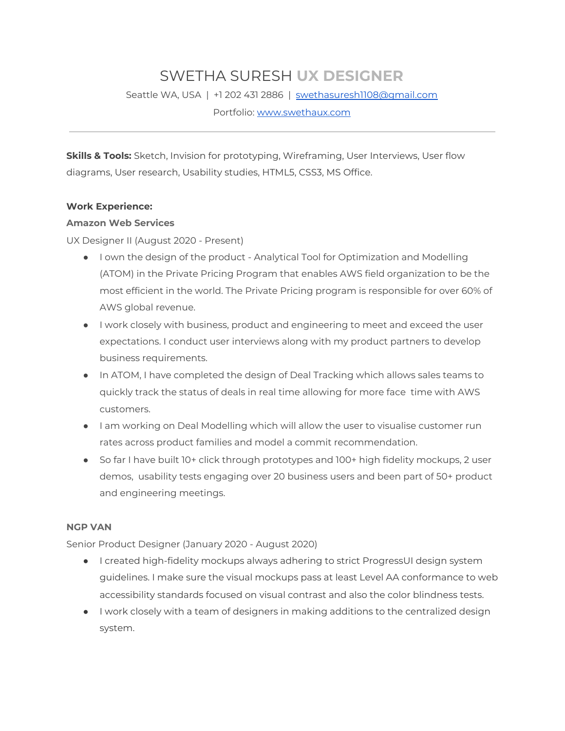# SWETHA SURESH **UX DESIGNER**

Seattle WA, USA | +1 202 431 2886 | [swethasuresh1108@gmail.com](mailto:swethasuresh1108@gmail.com)

Portfolio: [www.swethaux.com](http://www.swethaux.com/)

**Skills & Tools:** Sketch, Invision for prototyping, Wireframing, User Interviews, User flow diagrams, User research, Usability studies, HTML5, CSS3, MS Office.

#### **Work Experience:**

#### **Amazon Web Services**

UX Designer II (August 2020 - Present)

- I own the design of the product Analytical Tool for Optimization and Modelling (ATOM) in the Private Pricing Program that enables AWS field organization to be the most efficient in the world. The Private Pricing program is responsible for over 60% of AWS global revenue.
- I work closely with business, product and engineering to meet and exceed the user expectations. I conduct user interviews along with my product partners to develop business requirements.
- In ATOM, I have completed the design of Deal Tracking which allows sales teams to quickly track the status of deals in real time allowing for more face time with AWS customers.
- I am working on Deal Modelling which will allow the user to visualise customer run rates across product families and model a commit recommendation.
- So far I have built 10+ click through prototypes and 100+ high fidelity mockups, 2 user demos, usability tests engaging over 20 business users and been part of 50+ product and engineering meetings.

#### **NGP VAN**

Senior Product Designer (January 2020 - August 2020)

- I created high-fidelity mockups always adhering to strict ProgressUI design system guidelines. I make sure the visual mockups pass at least Level AA conformance to web accessibility standards focused on visual contrast and also the color blindness tests.
- I work closely with a team of designers in making additions to the centralized design system.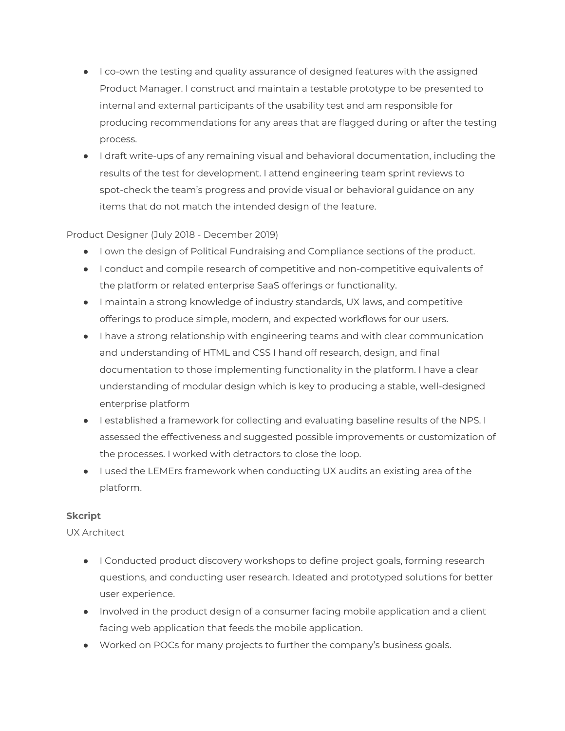- I co-own the testing and quality assurance of designed features with the assigned Product Manager. I construct and maintain a testable prototype to be presented to internal and external participants of the usability test and am responsible for producing recommendations for any areas that are flagged during or after the testing process.
- I draft write-ups of any remaining visual and behavioral documentation, including the results of the test for development. I attend engineering team sprint reviews to spot-check the team's progress and provide visual or behavioral guidance on any items that do not match the intended design of the feature.

## Product Designer (July 2018 - December 2019)

- I own the design of Political Fundraising and Compliance sections of the product.
- I conduct and compile research of competitive and non-competitive equivalents of the platform or related enterprise SaaS offerings or functionality.
- I maintain a strong knowledge of industry standards, UX laws, and competitive offerings to produce simple, modern, and expected workflows for our users.
- I have a strong relationship with engineering teams and with clear communication and understanding of HTML and CSS I hand off research, design, and final documentation to those implementing functionality in the platform. I have a clear understanding of modular design which is key to producing a stable, well-designed enterprise platform
- I established a framework for collecting and evaluating baseline results of the NPS. I assessed the effectiveness and suggested possible improvements or customization of the processes. I worked with detractors to close the loop.
- I used the LEMErs framework when conducting UX audits an existing area of the platform.

#### **Skcript**

#### UX Architect

- I Conducted product discovery workshops to define project goals, forming research questions, and conducting user research. Ideated and prototyped solutions for better user experience.
- Involved in the product design of a consumer facing mobile application and a client facing web application that feeds the mobile application.
- Worked on POCs for many projects to further the company's business goals.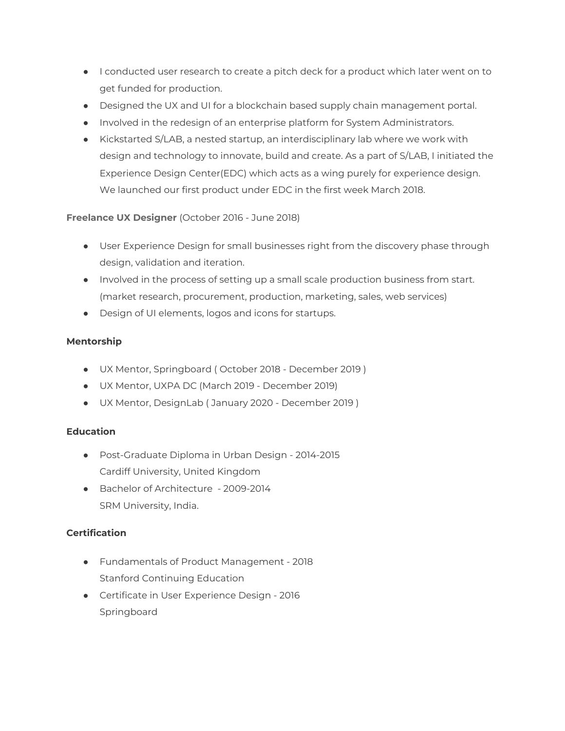- I conducted user research to create a pitch deck for a product which later went on to get funded for production.
- Designed the UX and UI for a blockchain based supply chain management portal.
- Involved in the redesign of an enterprise platform for System Administrators.
- Kickstarted S/LAB, a nested startup, an interdisciplinary lab where we work with design and technology to innovate, build and create. As a part of S/LAB, I initiated the Experience Design Center(EDC) which acts as a wing purely for experience design. We launched our first product under EDC in the first week March 2018.

## **Freelance UX Designer** (October 2016 - June 2018)

- User Experience Design for small businesses right from the discovery phase through design, validation and iteration.
- Involved in the process of setting up a small scale production business from start. (market research, procurement, production, marketing, sales, web services)
- Design of UI elements, logos and icons for startups.

## **Mentorship**

- UX Mentor, Springboard ( October 2018 December 2019 )
- UX Mentor, UXPA DC (March 2019 December 2019)
- UX Mentor, DesignLab ( January 2020 December 2019 )

## **Education**

- Post-Graduate Diploma in Urban Design 2014-2015 Cardiff University, United Kingdom
- Bachelor of Architecture 2009-2014 SRM University, India.

## **Certification**

- Fundamentals of Product Management 2018 Stanford Continuing Education
- Certificate in User Experience Design 2016 Springboard